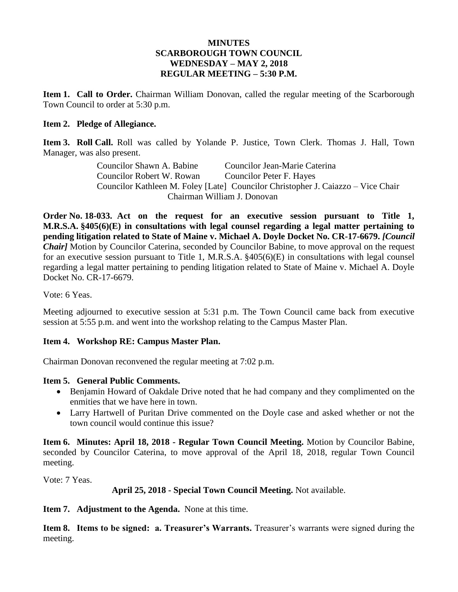#### **MINUTES SCARBOROUGH TOWN COUNCIL WEDNESDAY – MAY 2, 2018 REGULAR MEETING – 5:30 P.M.**

**Item 1. Call to Order.** Chairman William Donovan, called the regular meeting of the Scarborough Town Council to order at 5:30 p.m.

#### **Item 2. Pledge of Allegiance.**

**Item 3. Roll Call.** Roll was called by Yolande P. Justice, Town Clerk. Thomas J. Hall, Town Manager, was also present.

> Councilor Shawn A. Babine Councilor Jean-Marie Caterina Councilor Robert W. Rowan Councilor Peter F. Hayes Councilor Kathleen M. Foley [Late] Councilor Christopher J. Caiazzo – Vice Chair Chairman William J. Donovan

**Order No. 18-033. Act on the request for an executive session pursuant to Title 1, M.R.S.A. §405(6)(E) in consultations with legal counsel regarding a legal matter pertaining to pending litigation related to State of Maine v. Michael A. Doyle Docket No. CR-17-6679.** *[Council Chair]* Motion by Councilor Caterina, seconded by Councilor Babine, to move approval on the request for an executive session pursuant to Title 1, M.R.S.A. §405(6)(E) in consultations with legal counsel regarding a legal matter pertaining to pending litigation related to State of Maine v. Michael A. Doyle Docket No. CR-17-6679.

Vote: 6 Yeas.

Meeting adjourned to executive session at 5:31 p.m. The Town Council came back from executive session at 5:55 p.m. and went into the workshop relating to the Campus Master Plan.

# **Item 4. Workshop RE: Campus Master Plan.**

Chairman Donovan reconvened the regular meeting at 7:02 p.m.

#### **Item 5. General Public Comments.**

- Benjamin Howard of Oakdale Drive noted that he had company and they complimented on the enmities that we have here in town.
- Larry Hartwell of Puritan Drive commented on the Doyle case and asked whether or not the town council would continue this issue?

**Item 6. Minutes: April 18, 2018 - Regular Town Council Meeting.** Motion by Councilor Babine, seconded by Councilor Caterina, to move approval of the April 18, 2018, regular Town Council meeting.

Vote: 7 Yeas.

# **April 25, 2018 - Special Town Council Meeting.** Not available.

**Item 7. Adjustment to the Agenda.** None at this time.

**Item 8. Items to be signed: a. Treasurer's Warrants.** Treasurer's warrants were signed during the meeting.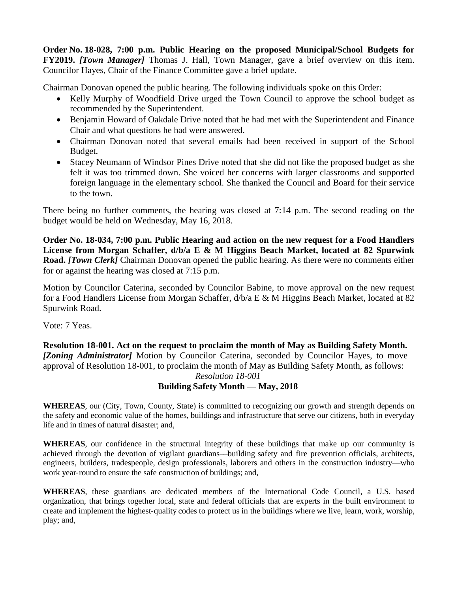**Order No. 18-028, 7:00 p.m. Public Hearing on the proposed Municipal/School Budgets for FY2019.** *[Town Manager]* Thomas J. Hall, Town Manager, gave a brief overview on this item. Councilor Hayes, Chair of the Finance Committee gave a brief update.

Chairman Donovan opened the public hearing. The following individuals spoke on this Order:

- Kelly Murphy of Woodfield Drive urged the Town Council to approve the school budget as recommended by the Superintendent.
- Benjamin Howard of Oakdale Drive noted that he had met with the Superintendent and Finance Chair and what questions he had were answered.
- Chairman Donovan noted that several emails had been received in support of the School Budget.
- Stacey Neumann of Windsor Pines Drive noted that she did not like the proposed budget as she felt it was too trimmed down. She voiced her concerns with larger classrooms and supported foreign language in the elementary school. She thanked the Council and Board for their service to the town.

There being no further comments, the hearing was closed at 7:14 p.m. The second reading on the budget would be held on Wednesday, May 16, 2018.

**Order No. 18-034, 7:00 p.m. Public Hearing and action on the new request for a Food Handlers License from Morgan Schaffer, d/b/a E & M Higgins Beach Market, located at 82 Spurwink Road.** *[Town Clerk]* Chairman Donovan opened the public hearing. As there were no comments either for or against the hearing was closed at 7:15 p.m.

Motion by Councilor Caterina, seconded by Councilor Babine, to move approval on the new request for a Food Handlers License from Morgan Schaffer, d/b/a E & M Higgins Beach Market, located at 82 Spurwink Road.

Vote: 7 Yeas.

**Resolution 18-001. Act on the request to proclaim the month of May as Building Safety Month.** *[Zoning Administrator]* Motion by Councilor Caterina, seconded by Councilor Hayes, to move approval of Resolution 18-001, to proclaim the month of May as Building Safety Month, as follows: *Resolution 18-001*

# **Building Safety Month — May, 2018**

**WHEREAS**, our (City, Town, County, State) is committed to recognizing our growth and strength depends on the safety and economic value of the homes, buildings and infrastructure that serve our citizens, both in everyday life and in times of natural disaster; and,

**WHEREAS**, our confidence in the structural integrity of these buildings that make up our community is achieved through the devotion of vigilant guardians––building safety and fire prevention officials, architects, engineers, builders, tradespeople, design professionals, laborers and others in the construction industry––who work year-round to ensure the safe construction of buildings; and,

**WHEREAS**, these guardians are dedicated members of the International Code Council, a U.S. based organization, that brings together local, state and federal officials that are experts in the built environment to create and implement the highest-quality codes to protect us in the buildings where we live, learn, work, worship, play; and,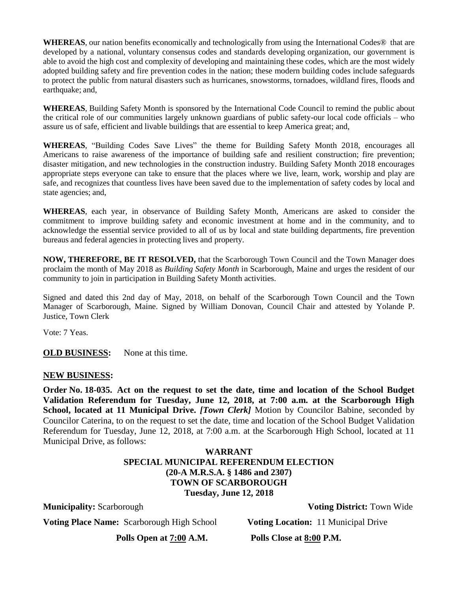**WHEREAS**, our nation benefits economically and technologically from using the International Codes® that are developed by a national, voluntary consensus codes and standards developing organization, our government is able to avoid the high cost and complexity of developing and maintaining these codes, which are the most widely adopted building safety and fire prevention codes in the nation; these modern building codes include safeguards to protect the public from natural disasters such as hurricanes, snowstorms, tornadoes, wildland fires, floods and earthquake; and,

**WHEREAS**, Building Safety Month is sponsored by the International Code Council to remind the public about the critical role of our communities largely unknown guardians of public safety-our local code officials – who assure us of safe, efficient and livable buildings that are essential to keep America great; and,

**WHEREAS**, "Building Codes Save Lives" the theme for Building Safety Month 2018, encourages all Americans to raise awareness of the importance of building safe and resilient construction; fire prevention; disaster mitigation, and new technologies in the construction industry. Building Safety Month 2018 encourages appropriate steps everyone can take to ensure that the places where we live, learn, work, worship and play are safe, and recognizes that countless lives have been saved due to the implementation of safety codes by local and state agencies; and,

**WHEREAS**, each year, in observance of Building Safety Month, Americans are asked to consider the commitment to improve building safety and economic investment at home and in the community, and to acknowledge the essential service provided to all of us by local and state building departments, fire prevention bureaus and federal agencies in protecting lives and property.

**NOW, THEREFORE, BE IT RESOLVED,** that the Scarborough Town Council and the Town Manager does proclaim the month of May 2018 as *Building Safety Month* in Scarborough, Maine and urges the resident of our community to join in participation in Building Safety Month activities.

Signed and dated this 2nd day of May, 2018, on behalf of the Scarborough Town Council and the Town Manager of Scarborough, Maine. Signed by William Donovan, Council Chair and attested by Yolande P. Justice, Town Clerk

Vote: 7 Yeas.

**OLD BUSINESS:** None at this time.

#### **NEW BUSINESS:**

**Order No. 18-035. Act on the request to set the date, time and location of the School Budget Validation Referendum for Tuesday, June 12, 2018, at 7:00 a.m. at the Scarborough High School, located at 11 Municipal Drive.** *[Town Clerk]* Motion by Councilor Babine, seconded by Councilor Caterina, to on the request to set the date, time and location of the School Budget Validation Referendum for Tuesday, June 12, 2018, at 7:00 a.m. at the Scarborough High School, located at 11 Municipal Drive, as follows:

### **WARRANT SPECIAL MUNICIPAL REFERENDUM ELECTION (20-A M.R.S.A. § 1486 and 2307) TOWN OF SCARBOROUGH Tuesday, June 12, 2018**

**Municipality:** Scarborough **Voting District:** Town Wide

**Voting Place Name:** Scarborough High School **Voting Location:** 11 Municipal Drive

**Polls Open at 7:00 A.M. Polls Close at 8:00 P.M.**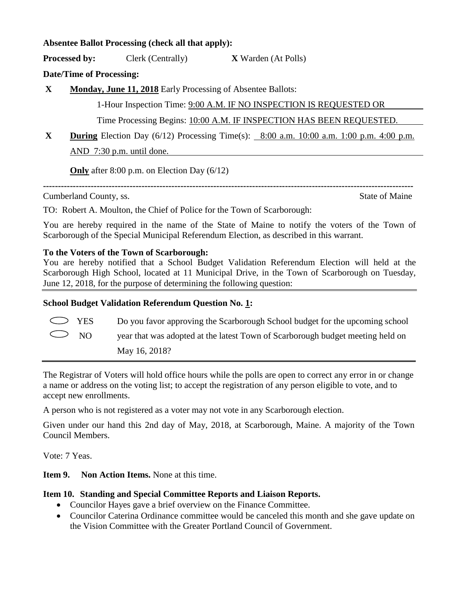### **Absentee Ballot Processing (check all that apply):**

**Processed by:** Clerk (Centrally) **X** Warden (At Polls)

**Date/Time of Processing:**

**X Monday, June 11, 2018** Early Processing of Absentee Ballots:

1-Hour Inspection Time: 9:00 A.M. IF NO INSPECTION IS REQUESTED OR

Time Processing Begins: 10:00 A.M. IF INSPECTION HAS BEEN REQUESTED.

**----------------------------------------------------------------------------------------------------------------------------**

**X During** Election Day (6/12) Processing Time(s): 8:00 a.m. 10:00 a.m. 1:00 p.m. 4:00 p.m. AND 7:30 p.m. until done.

**Only** after 8:00 p.m. on Election Day (6/12)

Cumberland County, ss. State of Maine

TO: Robert A. Moulton, the Chief of Police for the Town of Scarborough:

You are hereby required in the name of the State of Maine to notify the voters of the Town of Scarborough of the Special Municipal Referendum Election, as described in this warrant.

# **To the Voters of the Town of Scarborough:**

You are hereby notified that a School Budget Validation Referendum Election will held at the Scarborough High School, located at 11 Municipal Drive, in the Town of Scarborough on Tuesday, June 12, 2018, for the purpose of determining the following question:

# **School Budget Validation Referendum Question No. 1:**

 $\triangleright$  YES Do you favor approving the Scarborough School budget for the upcoming school

NO year that was adopted at the latest Town of Scarborough budget meeting held on

May 16, 2018?

The Registrar of Voters will hold office hours while the polls are open to correct any error in or change a name or address on the voting list; to accept the registration of any person eligible to vote, and to accept new enrollments.

A person who is not registered as a voter may not vote in any Scarborough election.

Given under our hand this 2nd day of May, 2018, at Scarborough, Maine. A majority of the Town Council Members.

Vote: 7 Yeas.

**Item 9. Non Action Items.** None at this time.

# **Item 10. Standing and Special Committee Reports and Liaison Reports.**

- Councilor Hayes gave a brief overview on the Finance Committee.
- Councilor Caterina Ordinance committee would be canceled this month and she gave update on the Vision Committee with the Greater Portland Council of Government.